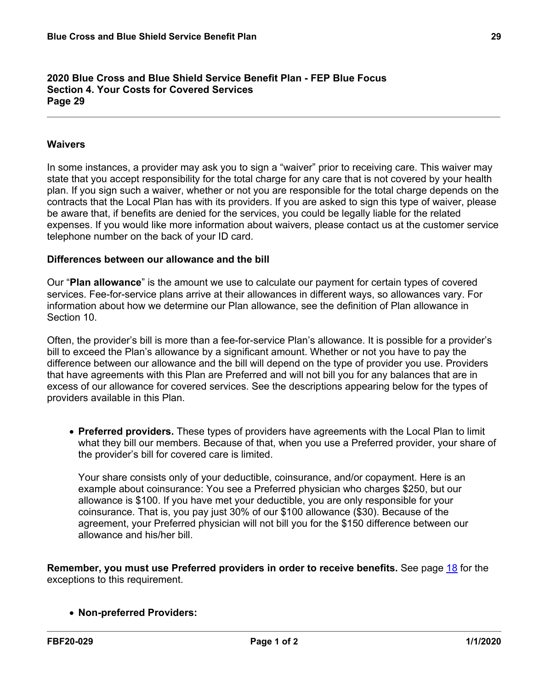#### **2020 Blue Cross and Blue Shield Service Benefit Plan - FEP Blue Focus Section 4. Your Costs for Covered Services Page 29**

# **Waivers**

In some instances, a provider may ask you to sign a "waiver" prior to receiving care. This waiver may state that you accept responsibility for the total charge for any care that is not covered by your health plan. If you sign such a waiver, whether or not you are responsible for the total charge depends on the contracts that the Local Plan has with its providers. If you are asked to sign this type of waiver, please be aware that, if benefits are denied for the services, you could be legally liable for the related expenses. If you would like more information about waivers, please contact us at the customer service telephone number on the back of your ID card.

## **Differences between our allowance and the bill**

Our "**Plan allowance**" is the amount we use to calculate our payment for certain types of covered services. Fee-for-service plans arrive at their allowances in different ways, so allowances vary. For information about how we determine our Plan allowance, see the definition of Plan allowance in Section 10.

Often, the provider's bill is more than a fee-for-service Plan's allowance. It is possible for a provider's bill to exceed the Plan's allowance by a significant amount. Whether or not you have to pay the difference between our allowance and the bill will depend on the type of provider you use. Providers that have agreements with this Plan are Preferred and will not bill you for any balances that are in excess of our allowance for covered services. See the descriptions appearing below for the types of providers available in this Plan.

 **Preferred providers.** These types of providers have agreements with the Local Plan to limit what they bill our members. Because of that, when you use a Preferred provider, your share of the provider's bill for covered care is limited.

Your share consists only of your deductible, coinsurance, and/or copayment. Here is an example about coinsurance: You see a Preferred physician who charges \$250, but our allowance is \$100. If you have met your deductible, you are only responsible for your coinsurance. That is, you pay just 30% of our \$100 allowance (\$30). Because of the agreement, your Preferred physician will not bill you for the \$150 difference between our allowance and his/her bill.

**Remember, you must use Preferred providers in order to receive benefits.** See page [18](a8376318-ebd6-421f-be63-acf8c88376a1_43829a2a-3be8-41ac-93ec-1b4517c52bb0.html?v=32493) for the exceptions to this requirement.

## **Non-preferred Providers:**